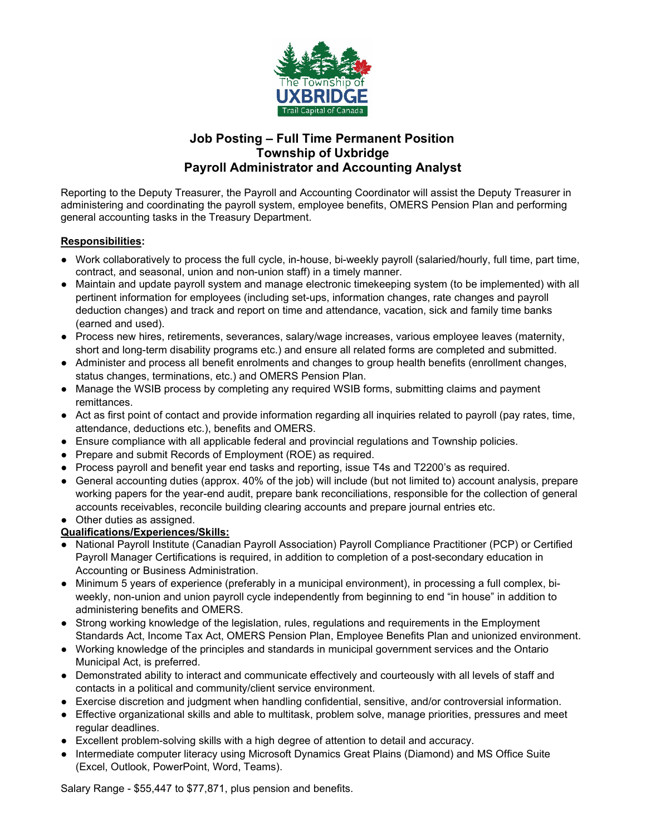

## **Job Posting – Full Time Permanent Position Township of Uxbridge Payroll Administrator and Accounting Analyst**

Reporting to the Deputy Treasurer, the Payroll and Accounting Coordinator will assist the Deputy Treasurer in administering and coordinating the payroll system, employee benefits, OMERS Pension Plan and performing general accounting tasks in the Treasury Department.

## **Responsibilities:**

- Work collaboratively to process the full cycle, in-house, bi-weekly payroll (salaried/hourly, full time, part time, contract, and seasonal, union and non-union staff) in a timely manner.
- Maintain and update payroll system and manage electronic timekeeping system (to be implemented) with all pertinent information for employees (including set-ups, information changes, rate changes and payroll deduction changes) and track and report on time and attendance, vacation, sick and family time banks (earned and used).
- Process new hires, retirements, severances, salary/wage increases, various employee leaves (maternity, short and long-term disability programs etc.) and ensure all related forms are completed and submitted.
- Administer and process all benefit enrolments and changes to group health benefits (enrollment changes, status changes, terminations, etc.) and OMERS Pension Plan.
- Manage the WSIB process by completing any required WSIB forms, submitting claims and payment remittances.
- Act as first point of contact and provide information regarding all inquiries related to payroll (pay rates, time, attendance, deductions etc.), benefits and OMERS.
- Ensure compliance with all applicable federal and provincial regulations and Township policies.
- Prepare and submit Records of Employment (ROE) as required.
- Process payroll and benefit year end tasks and reporting, issue T4s and T2200's as required.
- General accounting duties (approx. 40% of the job) will include (but not limited to) account analysis, prepare working papers for the year-end audit, prepare bank reconciliations, responsible for the collection of general accounts receivables, reconcile building clearing accounts and prepare journal entries etc.
- Other duties as assigned.

## **Qualifications/Experiences/Skills:**

- National Payroll Institute (Canadian Payroll Association) Payroll Compliance Practitioner (PCP) or Certified Payroll Manager Certifications is required, in addition to completion of a post-secondary education in Accounting or Business Administration.
- Minimum 5 years of experience (preferably in a municipal environment), in processing a full complex, biweekly, non-union and union payroll cycle independently from beginning to end "in house" in addition to administering benefits and OMERS.
- Strong working knowledge of the legislation, rules, regulations and requirements in the Employment Standards Act, Income Tax Act, OMERS Pension Plan, Employee Benefits Plan and unionized environment.
- Working knowledge of the principles and standards in municipal government services and the Ontario Municipal Act, is preferred.
- Demonstrated ability to interact and communicate effectively and courteously with all levels of staff and contacts in a political and community/client service environment.
- Exercise discretion and judgment when handling confidential, sensitive, and/or controversial information.
- Effective organizational skills and able to multitask, problem solve, manage priorities, pressures and meet regular deadlines.
- Excellent problem-solving skills with a high degree of attention to detail and accuracy.
- Intermediate computer literacy using Microsoft Dynamics Great Plains (Diamond) and MS Office Suite (Excel, Outlook, PowerPoint, Word, Teams).

Salary Range - \$55,447 to \$77,871, plus pension and benefits.